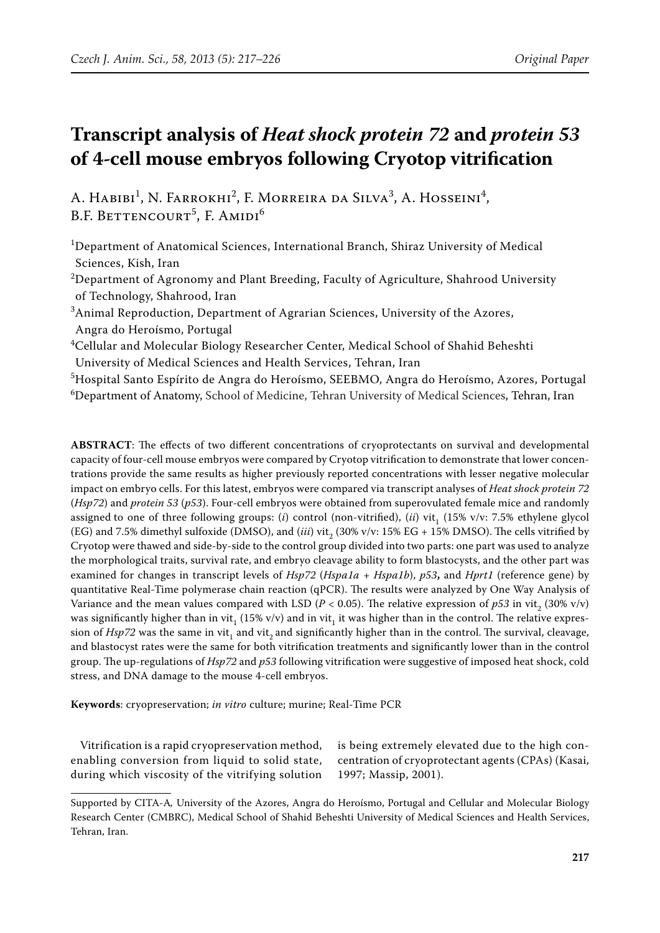# **Transcript analysis of** *Heat shock protein 72* **and** *protein 53* **of 4-cell mouse embryos following Cryotop vitrification**

A. Habibi<sup>1</sup>, N. Farrokhi<sup>2</sup>, F. Morreira da Silva<sup>3</sup>, A. Hosseini<sup>4</sup>, B.F. Bettencourt<sup>5</sup>, F. Amidi<sup>6</sup>

1 Department of Anatomical Sciences, International Branch, Shiraz University of Medical Sciences, Kish, Iran

 $^{2}$ Department of Agronomy and Plant Breeding, Faculty of Agriculture, Shahrood University of Technology, Shahrood, Iran

 ${}^{3}$ Animal Reproduction, Department of Agrarian Sciences, University of the Azores, Angra do Heroísmo, Portugal

 $^4$ Cellular and Molecular Biology Researcher Center, Medical School of Shahid Beheshti University of Medical Sciences and Health Services, Tehran, Iran

5 Hospital Santo Espírito de Angra do Heroísmo, SEEBMO, Angra do Heroísmo, Azores, Portugal  $^6$ Department of Anatomy, School of Medicine, Tehran University of Medical Sciences, Tehran, Iran

**ABSTRACT**: The effects of two different concentrations of cryoprotectants on survival and developmental capacity of four-cell mouse embryos were compared by Cryotop vitrification to demonstrate that lower concentrations provide the same results as higher previously reported concentrations with lesser negative molecular impact on embryo cells. For this latest, embryos were compared via transcript analyses of *Heat shock protein 72* (*Hsp72*) and *protein 53* (*p53*). Four-cell embryos were obtained from superovulated female mice and randomly assigned to one of three following groups: (*i*) control (non-vitrified), (*ii*) vit,  $(15\% \text{ v/v: } 7.5\%$  ethylene glycol (EG) and 7.5% dimethyl sulfoxide (DMSO), and (*iii*) vit<sub>2</sub> (30% v/v: 15% EG + 15% DMSO). The cells vitrified by Cryotop were thawed and side-by-side to the control group divided into two parts: one part was used to analyze the morphological traits, survival rate, and embryo cleavage ability to form blastocysts, and the other part was examined for changes in transcript levels of *Hsp72* (*Hspa1a* + *Hspa1b*), *p53***,** and *Hprt1* (reference gene) by quantitative Real-Time polymerase chain reaction (qPCR). The results were analyzed by One Way Analysis of Variance and the mean values compared with LSD ( $P < 0.05$ ). The relative expression of  $p53$  in vit<sub>2</sub> (30% v/v) was significantly higher than in vit<sub>1</sub> (15% v/v) and in vit<sub>1</sub> it was higher than in the control. The relative expression of *Hsp72* was the same in vit<sub>1</sub> and vit<sub>2</sub> and significantly higher than in the control. The survival, cleavage, and blastocyst rates were the same for both vitrification treatments and significantly lower than in the control group. The up-regulations of *Hsp72* and *p53* following vitrification were suggestive of imposed heat shock, cold stress, and DNA damage to the mouse 4-cell embryos.

**Keywords**: cryopreservation; *in vitro* culture; murine; Real-Time PCR

Vitrification is a rapid cryopreservation method, enabling conversion from liquid to solid state, during which viscosity of the vitrifying solution is being extremely elevated due to the high concentration of cryoprotectant agents (CPAs) (Kasai, 1997; Massip, 2001).

Supported by CITA-A*,* University of the Azores, Angra do Heroísmo, Portugal and Cellular and Molecular Biology Research Center (CMBRC), Medical School of Shahid Beheshti University of Medical Sciences and Health Services, Tehran, Iran.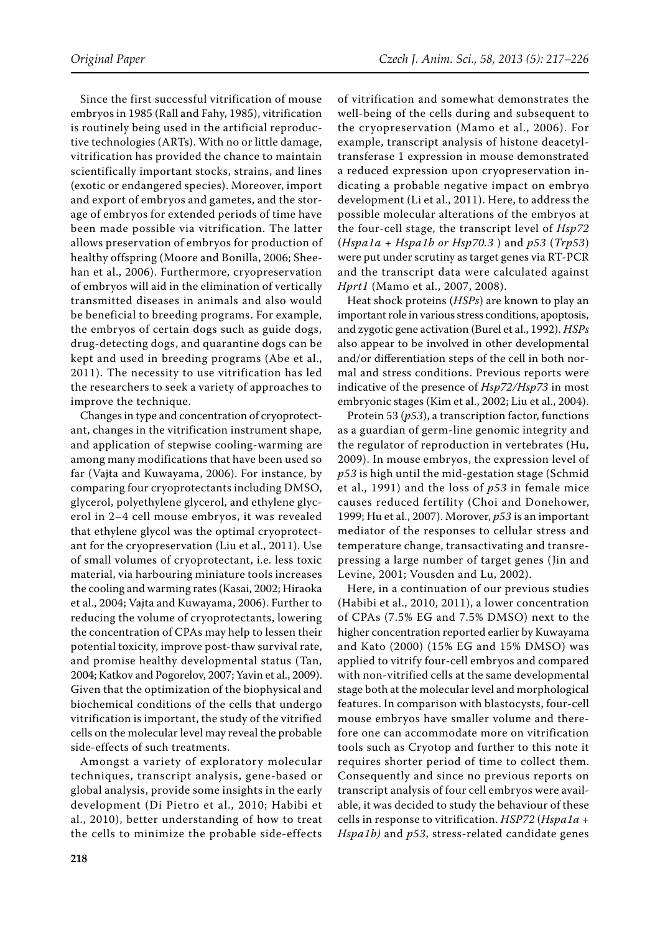Since the first successful vitrification of mouse embryos in 1985 (Rall and Fahy, 1985), vitrification is routinely being used in the artificial reproductive technologies (ARTs). With no or little damage, vitrification has provided the chance to maintain scientifically important stocks, strains, and lines (exotic or endangered species). Moreover, import and export of embryos and gametes, and the storage of embryos for extended periods of time have been made possible via vitrification. The latter allows preservation of embryos for production of healthy offspring (Moore and Bonilla, 2006; Sheehan et al., 2006). Furthermore, cryopreservation of embryos will aid in the elimination of vertically transmitted diseases in animals and also would be beneficial to breeding programs. For example, the embryos of certain dogs such as guide dogs, drug-detecting dogs, and quarantine dogs can be kept and used in breeding programs (Abe et al., 2011). The necessity to use vitrification has led the researchers to seek a variety of approaches to improve the technique.

Changes in type and concentration of cryoprotectant, changes in the vitrification instrument shape, and application of stepwise cooling-warming are among many modifications that have been used so far (Vajta and Kuwayama, 2006). For instance, by comparing four cryoprotectants including DMSO, glycerol, polyethylene glycerol, and ethylene glycerol in 2–4 cell mouse embryos, it was revealed that ethylene glycol was the optimal cryoprotectant for the cryopreservation (Liu et al., 2011). Use of small volumes of cryoprotectant, i.e. less toxic material, via harbouring miniature tools increases the cooling and warming rates (Kasai, 2002; Hiraoka et al., 2004; Vajta and Kuwayama, 2006). Further to reducing the volume of cryoprotectants, lowering the concentration of CPAs may help to lessen their potential toxicity, improve post-thaw survival rate, and promise healthy developmental status (Tan, 2004; Katkov and Pogorelov, 2007; Yavin et al., 2009). Given that the optimization of the biophysical and biochemical conditions of the cells that undergo vitrification is important, the study of the vitrified cells on the molecular level may reveal the probable side-effects of such treatments.

Amongst a variety of exploratory molecular techniques, transcript analysis, gene-based or global analysis, provide some insights in the early development (Di Pietro et al., 2010; Habibi et al., 2010), better understanding of how to treat the cells to minimize the probable side-effects of vitrification and somewhat demonstrates the well-being of the cells during and subsequent to the cryopreservation (Mamo et al., 2006). For example, transcript analysis of histone deacetyltransferase 1 expression in mouse demonstrated a reduced expression upon cryopreservation indicating a probable negative impact on embryo development (Li et al., 2011). Here, to address the possible molecular alterations of the embryos at the four-cell stage, the transcript level of *Hsp72*  (*Hspa1a + Hspa1b or Hsp70.3* ) and *p53* (*Trp53*) were put under scrutiny as target genes via RT-PCR and the transcript data were calculated against *Hprt1* (Mamo et al., 2007, 2008).

Heat shock proteins (*HSPs*) are known to play an important role in various stress conditions, apoptosis, and zygotic gene activation (Burel et al., 1992). *HSPs* also appear to be involved in other developmental and/or differentiation steps of the cell in both normal and stress conditions. Previous reports were indicative of the presence of *Hsp72/Hsp73* in most embryonic stages (Kim et al., 2002; Liu et al., 2004).

Protein 53 (*p53*), a transcription factor, functions as a guardian of germ-line genomic integrity and the regulator of reproduction in vertebrates (Hu, 2009). In mouse embryos, the expression level of *p53* is high until the mid-gestation stage (Schmid et al., 1991) and the loss of *p53* in female mice causes reduced fertility (Choi and Donehower, 1999; Hu et al., 2007). Morover, *p53* is an important mediator of the responses to cellular stress and temperature change, transactivating and transrepressing a large number of target genes (Jin and Levine, 2001; Vousden and Lu, 2002).

Here, in a continuation of our previous studies (Habibi et al., 2010, 2011), a lower concentration of CPAs (7.5% EG and 7.5% DMSO) next to the higher concentration reported earlier by Kuwayama and Kato (2000) (15% EG and 15% DMSO) was applied to vitrify four-cell embryos and compared with non-vitrified cells at the same developmental stage both at the molecular level and morphological features. In comparison with blastocysts, four-cell mouse embryos have smaller volume and therefore one can accommodate more on vitrification tools such as Cryotop and further to this note it requires shorter period of time to collect them. Consequently and since no previous reports on transcript analysis of four cell embryos were available, it was decided to study the behaviour of these cells in response to vitrification. *HSP72* (*Hspa1a + Hspa1b)* and *p53*, stress-related candidate genes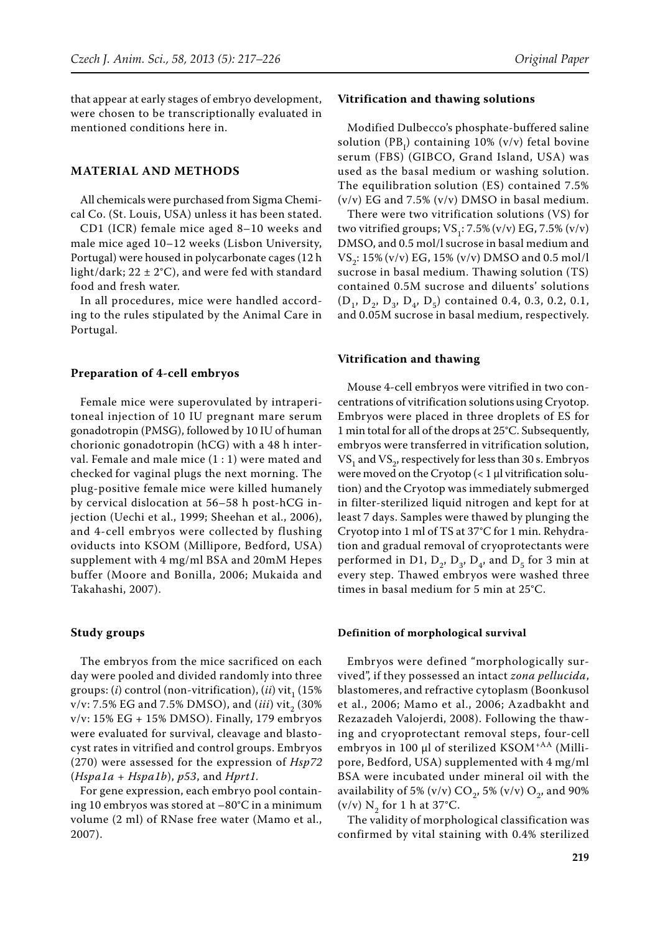that appear at early stages of embryo development, were chosen to be transcriptionally evaluated in mentioned conditions here in.

## **MATERIAL AND METHODS**

All chemicals were purchased from Sigma Chemical Co. (St. Louis, USA) unless it has been stated.

CD1 (ICR) female mice aged 8–10 weeks and male mice aged 10–12 weeks (Lisbon University, Portugal) were housed in polycarbonate cages (12 h light/dark;  $22 \pm 2^{\circ}$ C), and were fed with standard food and fresh water.

In all procedures, mice were handled according to the rules stipulated by the Animal Care in Portugal.

## **Preparation of 4-cell embryos**

Female mice were superovulated by intraperitoneal injection of 10 IU pregnant mare serum gonadotropin (PMSG), followed by 10 IU of human chorionic gonadotropin (hCG) with a 48 h interval. Female and male mice (1 : 1) were mated and checked for vaginal plugs the next morning. The plug-positive female mice were killed humanely by cervical dislocation at 56–58 h post-hCG injection (Uechi et al., 1999; Sheehan et al., 2006), and 4-cell embryos were collected by flushing oviducts into KSOM (Millipore, Bedford, USA) supplement with 4 mg/ml BSA and 20mM Hepes buffer (Moore and Bonilla, 2006; Mukaida and Takahashi, 2007).

#### **Study groups**

The embryos from the mice sacrificed on each day were pooled and divided randomly into three groups:  $(i)$  control (non-vitrification),  $(ii)$  vit<sub>1</sub> (15%)  $v/v: 7.5\%$  EG and 7.5% DMSO), and (*iii*) vit<sub>2</sub> (30%) v/v: 15% EG + 15% DMSO). Finally, 179 embryos were evaluated for survival, cleavage and blastocyst rates in vitrified and control groups. Embryos (270) were assessed for the expression of *Hsp72*  (*Hspa1a + Hspa1b*), *p53*, and *Hprt1.*

For gene expression, each embryo pool containing 10 embryos was stored at –80°C in a minimum volume (2 ml) of RNase free water (Mamo et al., 2007).

#### **Vitrification and thawing solutions**

Modified Dulbecco's phosphate-buffered saline solution  $(PB_I)$  containing 10% (v/v) fetal bovine serum (FBS) (GIBCO, Grand Island, USA) was used as the basal medium or washing solution. The equilibration solution (ES) contained 7.5%  $(v/v)$  EG and 7.5%  $(v/v)$  DMSO in basal medium.

There were two vitrification solutions (VS) for two vitrified groups;  $VS_1$ : 7.5% (v/v) EG, 7.5% (v/v) DMSO, and 0.5 mol/l sucrose in basal medium and  $VS_{2}$ : 15% (v/v) EG, 15% (v/v) DMSO and 0.5 mol/l sucrose in basal medium. Thawing solution (TS) contained 0.5M sucrose and diluents' solutions  $(D_1, D_2, D_3, D_4, D_5)$  contained 0.4, 0.3, 0.2, 0.1, and 0.05M sucrose in basal medium, respectively.

#### **Vitrification and thawing**

Mouse 4-cell embryos were vitrified in two concentrations of vitrification solutions using Cryotop. Embryos were placed in three droplets of ES for 1 min total for all of the drops at 25°C. Subsequently, embryos were transferred in vitrification solution,  $VS<sub>1</sub>$  and  $VS<sub>2</sub>$ , respectively for less than 30 s. Embryos were moved on the Cryotop  $(< 1 \mu$ l vitrification solution) and the Cryotop was immediately submerged in filter-sterilized liquid nitrogen and kept for at least 7 days. Samples were thawed by plunging the Cryotop into 1 ml of TS at 37°C for 1 min. Rehydration and gradual removal of cryoprotectants were performed in D1,  $D_2$ ,  $D_3$ ,  $D_4$ , and  $D_5$  for 3 min at every step. Thawed embryos were washed three times in basal medium for 5 min at 25°C.

#### **Definition of morphological survival**

Embryos were defined "morphologically survived", if they possessed an intact *zona pellucida*, blastomeres, and refractive cytoplasm (Boonkusol et al., 2006; Mamo et al., 2006; Azadbakht and Rezazadeh Valojerdi, 2008). Following the thawing and cryoprotectant removal steps, four-cell embryos in 100 μl of sterilized KSOM<sup>+AA</sup> (Millipore, Bedford, USA) supplemented with 4 mg/ml BSA were incubated under mineral oil with the availability of 5% (v/v)  $\text{CO}_2$ , 5% (v/v)  $\text{O}_2$ , and 90% (v/v)  $N_2$  for 1 h at 37°C.

The validity of morphological classification was confirmed by vital staining with 0.4% sterilized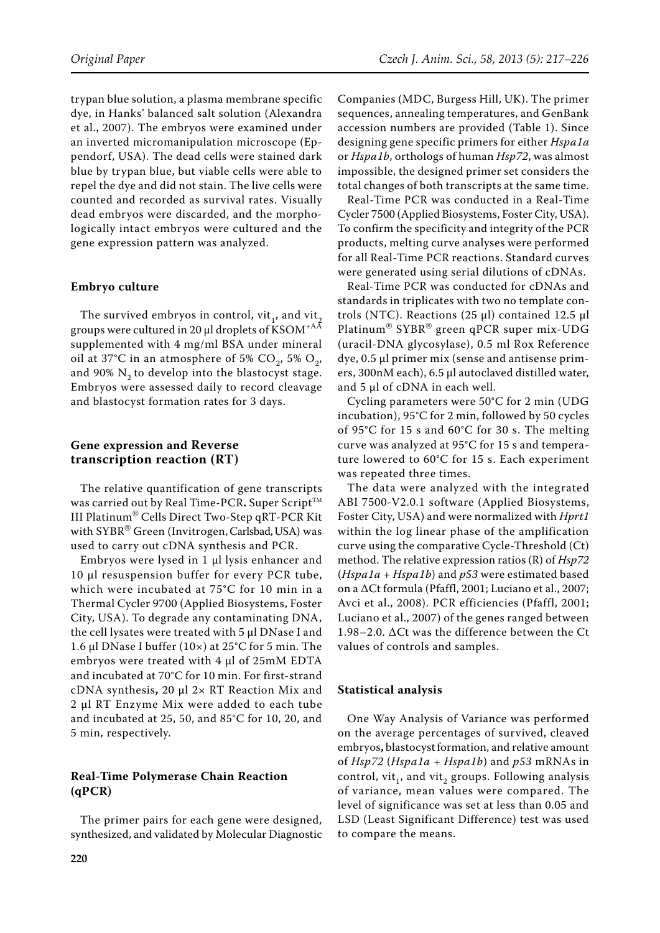trypan blue solution, a plasma membrane specific dye, in Hanks' balanced salt solution (Alexandra et al., 2007). The embryos were examined under an inverted micromanipulation microscope (Eppendorf, USA). The dead cells were stained dark blue by trypan blue, but viable cells were able to repel the dye and did not stain. The live cells were counted and recorded as survival rates. Visually dead embryos were discarded, and the morphologically intact embryos were cultured and the gene expression pattern was analyzed.

## **Embryo culture**

The survived embryos in control, vit<sub>1</sub>, and vit<sub>2</sub> groups were cultured in 20 μl droplets of KSOM+AA supplemented with 4 mg/ml BSA under mineral oil at 37°C in an atmosphere of 5% CO<sub>2</sub>, 5% O<sub>2</sub>, and 90%  $N<sub>2</sub>$  to develop into the blastocyst stage. Embryos were assessed daily to record cleavage and blastocyst formation rates for 3 days.

# **Gene expression and Reverse transcription reaction (RT)**

The relative quantification of gene transcripts was carried out by Real Time-PCR. Super Script<sup>™</sup> III Platinum® Cells Direct Two-Step qRT-PCR Kit with  $\mathsf{SYBR}^\circledast$  Green (Invitrogen, Carlsbad, USA) was used to carry out cDNA synthesis and PCR.

Embryos were lysed in 1 µl lysis enhancer and 10 µl resuspension buffer for every PCR tube, which were incubated at 75°C for 10 min in a Thermal Cycler 9700 (Applied Biosystems, Foster City, USA). To degrade any contaminating DNA, the cell lysates were treated with 5 µl DNase I and 1.6 µl DNase I buffer (10×) at 25°C for 5 min. The embryos were treated with 4 µl of 25mM EDTA and incubated at 70°C for 10 min. For first-strand cDNA synthesis**,** 20 µl 2× RT Reaction Mix and 2 µl RT Enzyme Mix were added to each tube and incubated at 25, 50, and 85°C for 10, 20, and 5 min, respectively.

# **Real-Time Polymerase Chain Reaction (qPCR)**

The primer pairs for each gene were designed, synthesized, and validated by Molecular Diagnostic Companies (MDC, Burgess Hill, UK). The primer sequences, annealing temperatures, and GenBank accession numbers are provided (Table 1). Since designing gene specific primers for either *Hspa1a* or *Hspa1b*, orthologs of human *Hsp72*, was almost impossible, the designed primer set considers the total changes of both transcripts at the same time.

Real-Time PCR was conducted in a Real-Time Cycler 7500 (Applied Biosystems, Foster City, USA). To confirm the specificity and integrity of the PCR products, melting curve analyses were performed for all Real-Time PCR reactions. Standard curves were generated using serial dilutions of cDNAs.

Real-Time PCR was conducted for cDNAs and standards in triplicates with two no template controls (NTC). Reactions (25 μl) contained 12.5 μl Platinum® SYBR® green qPCR super mix-UDG (uracil-DNA glycosylase), 0.5 ml Rox Reference dye, 0.5 µl primer mix (sense and antisense primers, 300nM each), 6.5 μl autoclaved distilled water, and 5 μl of cDNA in each well.

Cycling parameters were 50°C for 2 min (UDG incubation), 95°C for 2 min, followed by 50 cycles of 95°C for 15 s and 60°C for 30 s. The melting curve was analyzed at 95°C for 15 s and temperature lowered to 60°C for 15 s. Each experiment was repeated three times.

The data were analyzed with the integrated ABI 7500-V2.0.1 software (Applied Biosystems, Foster City, USA) and were normalized with *Hprt1* within the log linear phase of the amplification curve using the comparative Cycle-Threshold (Ct) method. The relative expression ratios (R) of *Hsp72*  (*Hspa1a + Hspa1b*) and *p53* were estimated based on a ΔCt formula (Pfaffl, 2001; Luciano et al., 2007; Avci et al., 2008). PCR efficiencies (Pfaffl, 2001; Luciano et al., 2007) of the genes ranged between 1.98–2.0. ΔCt was the difference between the Ct values of controls and samples.

# **Statistical analysis**

One Way Analysis of Variance was performed on the average percentages of survived, cleaved embryos**,** blastocystformation, and relative amount of *Hsp72* (*Hspa1a + Hspa1b*) and *p53* mRNAs in control, vit<sub>1</sub>, and vit<sub>2</sub> groups. Following analysis of variance, mean values were compared. The level of significance was set at less than 0.05 and LSD (Least Significant Difference) test was used to compare the means.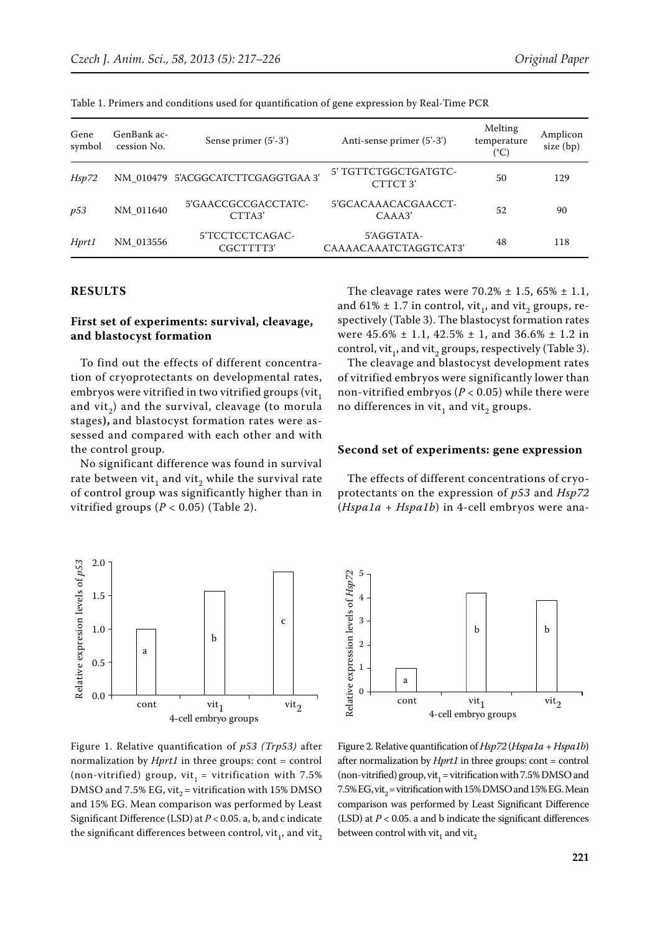| Gene<br>symbol | GenBank ac-<br>cession No. | Sense primer (5'-3')               | Anti-sense primer (5'-3')           | Melting<br>temperature<br>(°C) | Amplicon<br>size (bp) |
|----------------|----------------------------|------------------------------------|-------------------------------------|--------------------------------|-----------------------|
| Hsp72          |                            | NM 010479 5'ACGGCATCTTCGAGGTGAA 3' | 5' TGTTCTGGCTGATGTC-<br>CTTCT3'     | 50                             | 129                   |
| p53            | NM 011640                  | 5'GAACCGCCGACCTATC-<br>CTTA3'      | 5'GCACAAACACGAACCT-<br>CAAA3'       | 52                             | 90                    |
| Hprt1          | NM 013556                  | 5'TCCTCCTCAGAC-<br>CGCTTTT3'       | 5'AGGTATA-<br>CAAAACAAATCTAGGTCAT3' | 48                             | 118                   |

Table 1. Primers and conditions used for quantification of gene expression by Real-Time PCR

## **RESULTS**

# **First set of experiments: survival, cleavage, and blastocyst formation**

To find out the effects of different concentration of cryoprotectants on developmental rates, embryos were vitrified in two vitrified groups (vit, and vit2) and the survival, cleavage **(**to morula stages**),** and blastocyst formation rates were assessed and compared with each other and with the control group.

No significant difference was found in survival rate between vit, and vit, while the survival rate of control group was significantly higher than in vitrified groups  $(P < 0.05)$  (Table 2).



Figure 1. Relative quantification of *p53 (Trp53)* after normalization by *Hprt1* in three groups: cont = control (non-vitrified) group, vit<sub>1</sub> = vitrification with 7.5% DMSO and 7.5% EG, vit<sub>2</sub> = vitrification with 15% DMSO and 15% EG. Mean comparison was performed by Least Significant Difference (LSD) at *P* < 0.05. a, b, and c indicate the significant differences between control,  $vit_1$ , and vit,

Figure 2. Relative quantification of *Hsp72* (*Hspa1a + Hspa1b*) after normalization by *Hprt1* in three groups: cont = control (non-vitrified) group, vit<sub>1</sub> = vitrification with 7.5% DMSO and 7.5% EG, vit<sub>2</sub> = vitrification with 15% DMSO and 15% EG. Mean comparison was performed by Least Significant Difference (LSD) at  $P < 0.05$ . a and b indicate the significant differences between control with vit $_1$  and vit $_2$ 

and 61%  $\pm$  1.7 in control, vit<sub>1</sub>, and vit<sub>2</sub> groups, respectively (Table 3). The blastocyst formation rates were  $45.6\% \pm 1.1$ ,  $42.5\% \pm 1$ , and  $36.6\% \pm 1.2$  in control, vit<sub>1</sub>, and vit<sub>2</sub> groups, respectively (Table 3). The cleavage and blastocyst development rates

The cleavage rates were  $70.2% \pm 1.5$ , 65%  $\pm 1.1$ ,

of vitrified embryos were significantly lower than non-vitrified embryos ( $P < 0.05$ ) while there were no differences in vit, and vit, groups.

#### **Second set of experiments: gene expression**

The effects of different concentrations of cryoprotectants on the expression of *p53* and *Hsp72* (*Hspa1a + Hspa1b*) in 4-cell embryos were ana-

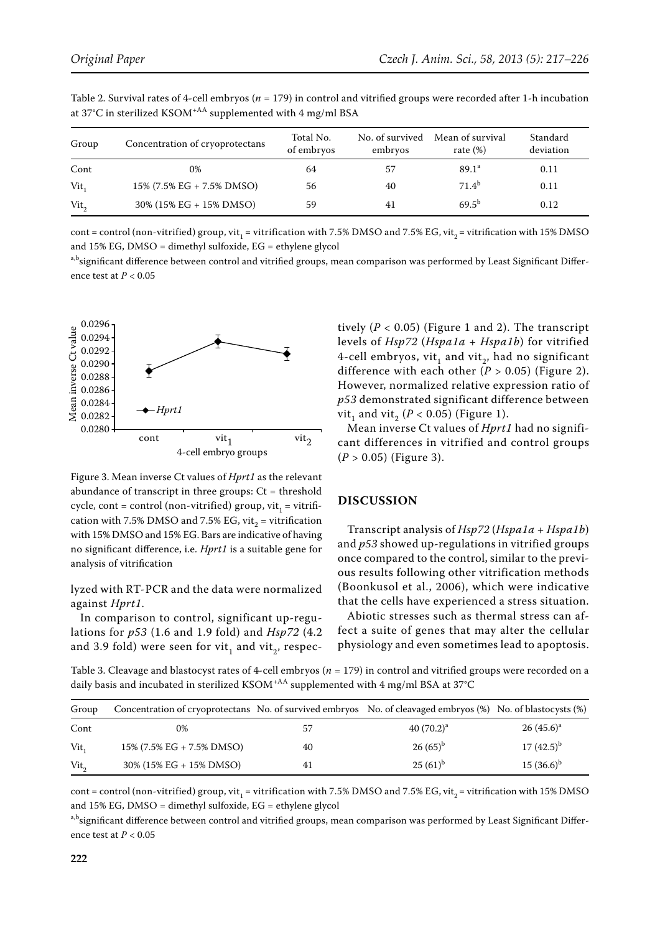| Group          | Concentration of cryoprotectans | Total No.<br>of embryos | No. of survived<br>embryos | Mean of survival<br>rate $(\%)$ | Standard<br>deviation |
|----------------|---------------------------------|-------------------------|----------------------------|---------------------------------|-----------------------|
| Cont           | 0%                              | 64                      | 57                         | 89.1 <sup>a</sup>               | 0.11                  |
| Vit.           | 15% (7.5% EG + 7.5% DMSO)       | 56                      | 40                         | 71.4 <sup>b</sup>               | 0.11                  |
| $Vit_{\alpha}$ | 30% (15% EG + 15% DMSO)         | 59                      | 41                         | $69.5^{b}$                      | 0.12                  |

Table 2. Survival rates of 4-cell embryos (*n* = 179) in control and vitrified groups were recorded after 1-h incubation at 37°C in sterilized KSOM+AA supplemented with 4 mg/ml BSA

cont = control (non-vitrified) group, vit<sub>1</sub> = vitrification with 7.5% DMSO and 7.5% EG, vit<sub>2</sub> = vitrification with 15% DMSO and 15% EG, DMSO = dimethyl sulfoxide, EG = ethylene glycol

a,b<sub>significant difference between control and vitrified groups, mean comparison was performed by Least Significant Differ-</sub> ence test at *P* < 0.05



Figure 3. Mean inverse Ct values of *Hprt1* as the relevant abundance of transcript in three groups:  $Ct =$  threshold cycle, cont = control (non-vitrified) group, vit<sub>1</sub> = vitrification with 7.5% DMSO and 7.5% EG, vit<sub>2</sub> = vitrification with 15% DMSO and 15% EG. Bars are indicative of having no significant difference, i.e. *Hprt1* is a suitable gene for analysis of vitrification

lyzed with RT-PCR and the data were normalized against *Hprt1*.

In comparison to control, significant up-regulations for *p53* (1.6 and 1.9 fold) and *Hsp72* (4.2 and 3.9 fold) were seen for vit<sub>1</sub> and vit<sub>2</sub>, respectively  $(P < 0.05)$  (Figure 1 and 2). The transcript levels of *Hsp72* (*Hspa1a + Hspa1b*) for vitrified 4-cell embryos, vit, and vit,, had no significant difference with each other  $(P > 0.05)$  (Figure 2). However, normalized relative expression ratio of *p53* demonstrated significant difference between vit<sub>1</sub> and vit<sub>2</sub> ( $P < 0.05$ ) (Figure 1).

Mean inverse Ct values of *Hprt1* had no significant differences in vitrified and control groups (*P* > 0.05) (Figure 3).

## **DISCUSSION**

Transcript analysis of *Hsp72* (*Hspa1a + Hspa1b*) and *p53* showed up-regulations in vitrified groups once compared to the control, similar to the previous results following other vitrification methods (Boonkusol et al., 2006), which were indicative that the cells have experienced a stress situation.

Abiotic stresses such as thermal stress can affect a suite of genes that may alter the cellular physiology and even sometimes lead to apoptosis.

Table 3. Cleavage and blastocyst rates of 4-cell embryos (*n* = 179) in control and vitrified groups were recorded on a daily basis and incubated in sterilized KSOM<sup>+AA</sup> supplemented with 4 mg/ml BSA at 37°C

| Group          | Concentration of cryoprotectans No. of survived embryos No. of cleavaged embryos (%) No. of blastocysts (%) |    |              |                |
|----------------|-------------------------------------------------------------------------------------------------------------|----|--------------|----------------|
| Cont           | 0%                                                                                                          | 57 | $40(70.2)^a$ | $26(45.6)^a$   |
| Vit.           | 15% (7.5% EG + 7.5% DMSO)                                                                                   | 40 | $26(65)^{b}$ | $17(42.5)^{b}$ |
| $Vit_{\alpha}$ | $30\%$ (15% EG + 15% DMSO)                                                                                  | 41 | $25(61)^{b}$ | $15(36.6)^{b}$ |

cont = control (non-vitrified) group, vit<sub>1</sub> = vitrification with 7.5% DMSO and 7.5% EG, vit<sub>2</sub> = vitrification with 15% DMSO and 15% EG, DMSO = dimethyl sulfoxide, EG = ethylene glycol

a,b<sub>significant</sub> difference between control and vitrified groups, mean comparison was performed by Least Significant Difference test at *P* < 0.05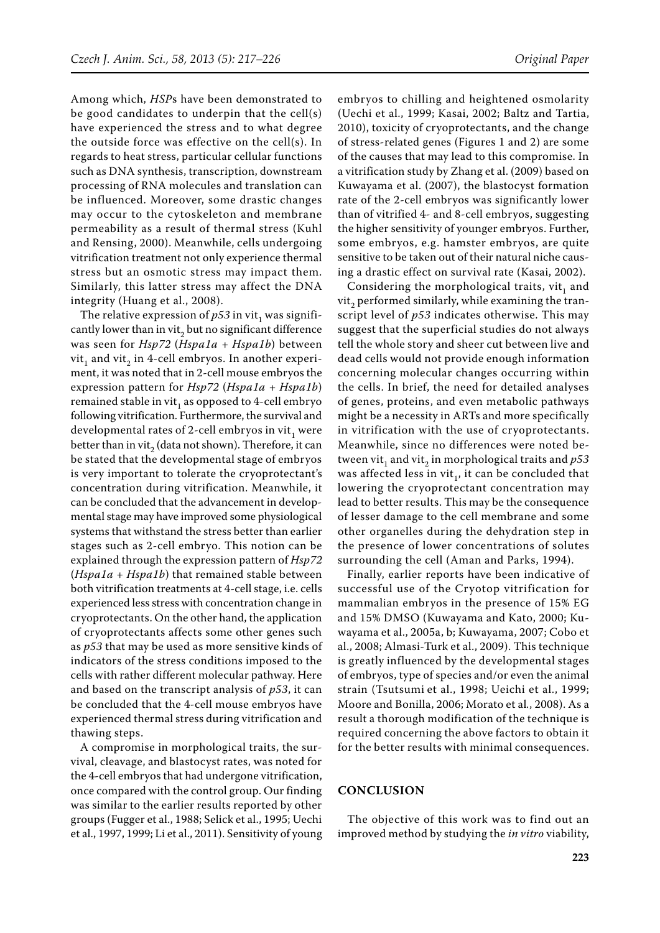Among which, *HSP*s have been demonstrated to be good candidates to underpin that the cell(s) have experienced the stress and to what degree the outside force was effective on the cell(s). In regards to heat stress, particular cellular functions such as DNA synthesis, transcription, downstream processing of RNA molecules and translation can be influenced. Moreover, some drastic changes may occur to the cytoskeleton and membrane permeability as a result of thermal stress (Kuhl and Rensing, 2000). Meanwhile, cells undergoing vitrification treatment not only experience thermal stress but an osmotic stress may impact them. Similarly, this latter stress may affect the DNA integrity (Huang et al., 2008).

The relative expression of  $p53$  in vit<sub>1</sub> was significantly lower than in vit, but no significant difference was seen for *Hsp72* (*Hspa1a + Hspa1b*) between vit, and vit, in 4-cell embryos. In another experiment, it was noted that in 2-cell mouse embryos the expression pattern for *Hsp72* (*Hspa1a + Hspa1b*) remained stable in vit, as opposed to 4-cell embryo following vitrification. Furthermore, the survival and developmental rates of 2-cell embryos in vit, were better than in vit, (data not shown). Therefore, it can be stated that the developmental stage of embryos is very important to tolerate the cryoprotectant's concentration during vitrification. Meanwhile, it can be concluded that the advancement in developmental stage may have improved some physiological systems that withstand the stress better than earlier stages such as 2-cell embryo. This notion can be explained through the expression pattern of *Hsp72* (*Hspa1a + Hspa1b*) that remained stable between both vitrification treatments at 4-cell stage, i.e. cells experienced less stress with concentration change in cryoprotectants. On the other hand, the application of cryoprotectants affects some other genes such as *p53* that may be used as more sensitive kinds of indicators of the stress conditions imposed to the cells with rather different molecular pathway. Here and based on the transcript analysis of *p53*, it can be concluded that the 4-cell mouse embryos have experienced thermal stress during vitrification and thawing steps.

A compromise in morphological traits, the survival, cleavage, and blastocyst rates, was noted for the 4-cell embryos that had undergone vitrification, once compared with the control group. Our finding was similar to the earlier results reported by other groups (Fugger et al., 1988; Selick et al., 1995; Uechi et al., 1997, 1999; Li et al., 2011). Sensitivity of young embryos to chilling and heightened osmolarity (Uechi et al., 1999; Kasai, 2002; Baltz and Tartia, 2010), toxicity of cryoprotectants, and the change of stress-related genes (Figures 1 and 2) are some of the causes that may lead to this compromise. In a vitrification study by Zhang et al. (2009) based on Kuwayama et al. (2007), the blastocyst formation rate of the 2-cell embryos was significantly lower than of vitrified 4- and 8-cell embryos, suggesting the higher sensitivity of younger embryos. Further, some embryos, e.g. hamster embryos, are quite sensitive to be taken out of their natural niche causing a drastic effect on survival rate (Kasai, 2002).

Considering the morphological traits,  $vit_1$  and vit, performed similarly, while examining the transcript level of *p53* indicates otherwise. This may suggest that the superficial studies do not always tell the whole story and sheer cut between live and dead cells would not provide enough information concerning molecular changes occurring within the cells. In brief, the need for detailed analyses of genes, proteins, and even metabolic pathways might be a necessity in ARTs and more specifically in vitrification with the use of cryoprotectants. Meanwhile, since no differences were noted between vit<sub>1</sub> and vit<sub>2</sub> in morphological traits and  $p53$ was affected less in vit<sub>1</sub>, it can be concluded that lowering the cryoprotectant concentration may lead to better results. This may be the consequence of lesser damage to the cell membrane and some other organelles during the dehydration step in the presence of lower concentrations of solutes surrounding the cell (Aman and Parks, 1994).

Finally, earlier reports have been indicative of successful use of the Cryotop vitrification for mammalian embryos in the presence of 15% EG and 15% DMSO (Kuwayama and Kato, 2000; Kuwayama et al., 2005a, b; Kuwayama, 2007; Cobo et al., 2008; Almasi-Turk et al., 2009). This technique is greatly influenced by the developmental stages of embryos, type of species and/or even the animal strain (Tsutsumi et al., 1998; Ueichi et al., 1999; Moore and Bonilla, 2006; Morato et al*.*, 2008). As a result a thorough modification of the technique is required concerning the above factors to obtain it for the better results with minimal consequences.

## **CONCLUSION**

The objective of this work was to find out an improved method by studying the *in vitro* viability,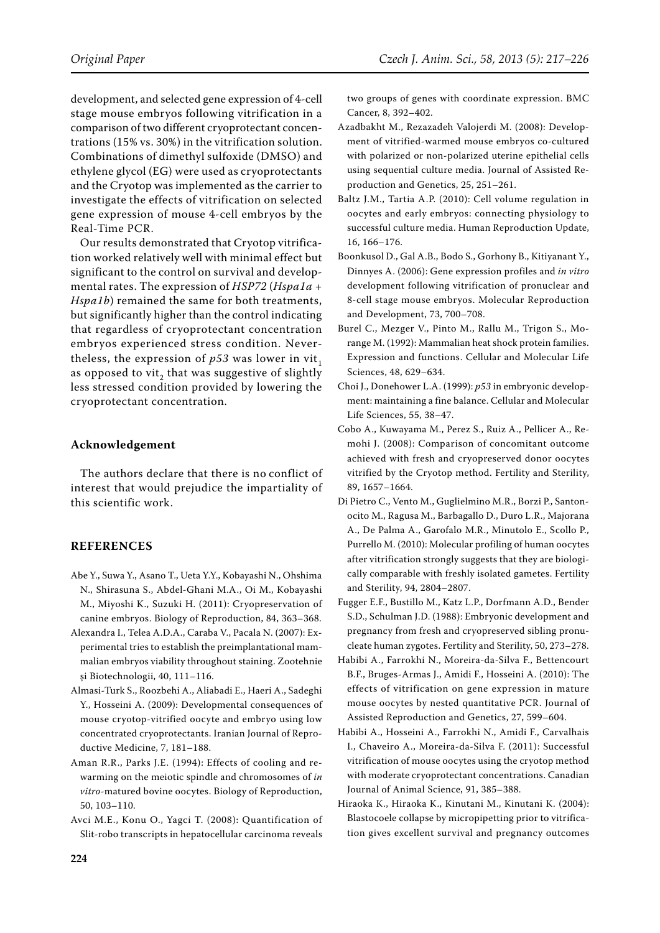development, and selected gene expression of 4-cell stage mouse embryos following vitrification in a comparison of two different cryoprotectant concentrations (15% vs. 30%) in the vitrification solution. Combinations of dimethyl sulfoxide (DMSO) and ethylene glycol (EG) were used as cryoprotectants and the Cryotop was implemented as the carrier to investigate the effects of vitrification on selected gene expression of mouse 4-cell embryos by the Real-Time PCR.

Our results demonstrated that Cryotop vitrification worked relatively well with minimal effect but significant to the control on survival and developmental rates. The expression of *HSP72* (*Hspa1a + Hspa1b*) remained the same for both treatments, but significantly higher than the control indicating that regardless of cryoprotectant concentration embryos experienced stress condition. Nevertheless, the expression of  $p53$  was lower in vit<sub>1</sub> as opposed to vit, that was suggestive of slightly less stressed condition provided by lowering the cryoprotectant concentration.

## **Acknowledgement**

The authors declare that there is no conflict of interest that would prejudice the impartiality of this scientific work.

# **REFERENCES**

- Abe Y., Suwa Y., Asano T., Ueta Y.Y., Kobayashi N., Ohshima N., Shirasuna S., Abdel-Ghani M.A., Oi M., Kobayashi M., Miyoshi K., Suzuki H. (2011): Cryopreservation of canine embryos. Biology of Reproduction, 84, 363–368.
- Alexandra I., Telea A.D.A., Caraba V., Pacala N. (2007): Experimental tries to establish the preimplantational mammalian embryos viability throughout staining. Zootehnie şi Biotechnologii, 40, 111–116.
- Almasi-Turk S., Roozbehi A., Aliabadi E., Haeri A., Sadeghi Y., Hosseini A. (2009): Developmental consequences of mouse cryotop-vitrified oocyte and embryo using low concentrated cryoprotectants. Iranian Journal of Reproductive Medicine, 7, 181–188.
- Aman R.R., Parks J.E. (1994): Effects of cooling and rewarming on the meiotic spindle and chromosomes of *in vitro*-matured bovine oocytes. Biology of Reproduction, 50, 103–110.
- Avci M.E., Konu O., Yagci T. (2008): Quantification of Slit-robo transcripts in hepatocellular carcinoma reveals

two groups of genes with coordinate expression. BMC Cancer, 8, 392–402.

- Azadbakht M., Rezazadeh Valojerdi M. (2008): Development of vitrified-warmed mouse embryos co-cultured with polarized or non-polarized uterine epithelial cells using sequential culture media. Journal of Assisted Reproduction and Genetics, 25, 251–261.
- Baltz J.M., Tartia A.P. (2010): Cell volume regulation in oocytes and early embryos: connecting physiology to successful culture media. Human Reproduction Update, 16, 166–176.
- Boonkusol D., Gal A.B., Bodo S., Gorhony B., Kitiyanant Y., Dinnyes A. (2006): Gene expression profiles and *in vitro* development following vitrification of pronuclear and 8-cell stage mouse embryos. Molecular Reproduction and Development, 73, 700–708.
- Burel C., Mezger V., Pinto M., Rallu M., Trigon S., Morange M. (1992): Mammalian heat shock protein families. Expression and functions. Cellular and Molecular Life Sciences, 48, 629–634.
- Choi J., Donehower L.A. (1999): *p53* in embryonic development: maintaining a fine balance. Cellular and Molecular Life Sciences, 55, 38–47.
- Cobo A., Kuwayama M., Perez S., Ruiz A., Pellicer A., Remohi J. (2008): Comparison of concomitant outcome achieved with fresh and cryopreserved donor oocytes vitrified by the Cryotop method. Fertility and Sterility, 89, 1657–1664.
- Di Pietro C., Vento M., Guglielmino M.R., Borzi P., Santonocito M., Ragusa M., Barbagallo D., Duro L.R., Majorana A., De Palma A., Garofalo M.R., Minutolo E., Scollo P., Purrello M. (2010): Molecular profiling of human oocytes after vitrification strongly suggests that they are biologically comparable with freshly isolated gametes. Fertility and Sterility, 94, 2804–2807.
- Fugger E.F., Bustillo M., Katz L.P., Dorfmann A.D., Bender S.D., Schulman J.D. (1988): Embryonic development and pregnancy from fresh and cryopreserved sibling pronucleate human zygotes. Fertility and Sterility, 50, 273–278.
- Habibi A., Farrokhi N., Moreira-da-Silva F., Bettencourt B.F., Bruges-Armas J., Amidi F., Hosseini A. (2010): The effects of vitrification on gene expression in mature mouse oocytes by nested quantitative PCR. Journal of Assisted Reproduction and Genetics, 27, 599–604.
- Habibi A., Hosseini A., Farrokhi N., Amidi F., Carvalhais I., Chaveiro A., Moreira-da-Silva F. (2011): Successful vitrification of mouse oocytes using the cryotop method with moderate cryoprotectant concentrations. Canadian Journal of Animal Science, 91, 385–388.
- Hiraoka K., Hiraoka K., Kinutani M., Kinutani K. (2004): Blastocoele collapse by micropipetting prior to vitrification gives excellent survival and pregnancy outcomes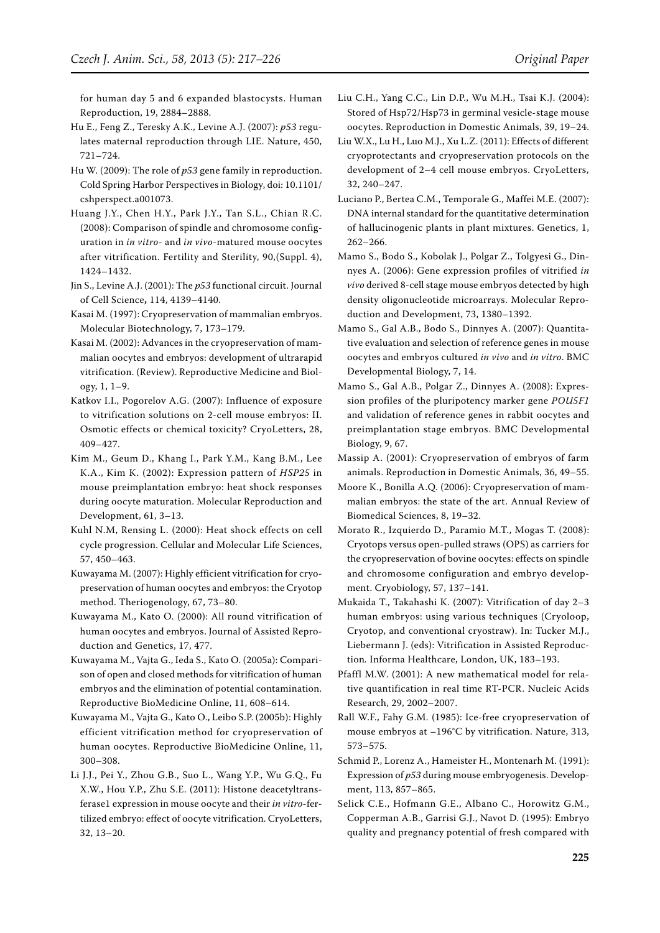for human day 5 and 6 expanded blastocysts. Human Reproduction, 19, 2884–2888.

- Hu E., Feng Z., Teresky A.K., Levine A.J. (2007): *p53* regulates maternal reproduction through LIE. Nature, 450, 721–724.
- Hu W. (2009): The role of *p53* gene family in reproduction. Cold Spring Harbor Perspectives in Biology, doi: 10.1101/ cshperspect.a001073.
- Huang J.Y., Chen H.Y., Park J.Y., Tan S.L., Chian R.C. (2008): Comparison of spindle and chromosome configuration in *in vitro*- and *in vivo*-matured mouse oocytes after vitrification. Fertility and Sterility, 90,(Suppl. 4), 1424–1432.
- Jin S., Levine A.J. (2001): The *p53* functional circuit. Journal of Cell Science**,** 114, 4139–4140.
- Kasai M. (1997): Cryopreservation of mammalian embryos. Molecular Biotechnology, 7, 173–179.
- Kasai M. (2002): Advances in the cryopreservation of mammalian oocytes and embryos: development of ultrarapid vitrification. (Review). Reproductive Medicine and Biology, 1, 1–9.
- Katkov I.I., Pogorelov A.G. (2007): Influence of exposure to vitrification solutions on 2-cell mouse embryos: II. Osmotic effects or chemical toxicity? CryoLetters, 28, 409–427.
- Kim M., Geum D., Khang I., Park Y.M., Kang B.M., Lee K.A., Kim K. (2002): Expression pattern of *HSP25* in mouse preimplantation embryo: heat shock responses during oocyte maturation. Molecular Reproduction and Development, 61, 3–13.
- Kuhl N.M, Rensing L. (2000): Heat shock effects on cell cycle progression. Cellular and Molecular Life Sciences, 57, 450–463.
- Kuwayama M. (2007): Highly efficient vitrification for cryopreservation of human oocytes and embryos: the Cryotop method. Theriogenology, 67, 73–80.
- Kuwayama M., Kato O. (2000): All round vitrification of human oocytes and embryos. Journal of Assisted Reproduction and Genetics, 17, 477.
- Kuwayama M., Vajta G., Ieda S., Kato O. (2005a): Comparison of open and closed methods for vitrification of human embryos and the elimination of potential contamination. Reproductive BioMedicine Online, 11, 608–614.
- Kuwayama M., Vajta G., Kato O., Leibo S.P. (2005b): Highly efficient vitrification method for cryopreservation of human oocytes. Reproductive BioMedicine Online, 11, 300–308.
- Li J.J., Pei Y., Zhou G.B., Suo L., Wang Y.P., Wu G.Q., Fu X.W., Hou Y.P., Zhu S.E. (2011): Histone deacetyltransferase1 expression in mouse oocyte and their *in vitro*-fertilized embryo: effect of oocyte vitrification. CryoLetters, 32, 13–20.
- Liu C.H., Yang C.C., Lin D.P., Wu M.H., Tsai K.J. (2004): Stored of Hsp72/Hsp73 in germinal vesicle-stage mouse oocytes. Reproduction in Domestic Animals, 39, 19–24.
- Liu W.X., Lu H., Luo M.J., Xu L.Z. (2011): Effects of different cryoprotectants and cryopreservation protocols on the development of 2–4 cell mouse embryos. CryoLetters, 32, 240–247.
- Luciano P., Bertea C.M., Temporale G., Maffei M.E. (2007): DNA internal standard for the quantitative determination of hallucinogenic plants in plant mixtures. Genetics, 1, 262–266.
- Mamo S., Bodo S., Kobolak J., Polgar Z., Tolgyesi G., Dinnyes A. (2006): Gene expression profiles of vitrified *in vivo* derived 8-cell stage mouse embryos detected by high density oligonucleotide microarrays. Molecular Reproduction and Development, 73, 1380–1392.
- Mamo S., Gal A.B., Bodo S., Dinnyes A. (2007): Quantitative evaluation and selection of reference genes in mouse oocytes and embryos cultured *in vivo* and *in vitro*. BMC Developmental Biology, 7, 14.
- Mamo S., Gal A.B., Polgar Z., Dinnyes A. (2008): Expression profiles of the pluripotency marker gene *POU5F1* and validation of reference genes in rabbit oocytes and preimplantation stage embryos. BMC Developmental Biology, 9, 67.
- Massip A. (2001): Cryopreservation of embryos of farm animals. Reproduction in Domestic Animals, 36, 49–55.
- Moore K., Bonilla A.Q. (2006): Cryopreservation of mammalian embryos: the state of the art. Annual Review of Biomedical Sciences, 8, 19–32.
- Morato R., Izquierdo D., Paramio M.T., Mogas T. (2008): Cryotops versus open-pulled straws (OPS) as carriers for the cryopreservation of bovine oocytes: effects on spindle and chromosome configuration and embryo development. Cryobiology, 57, 137–141.
- Mukaida T., Takahashi K. (2007): Vitrification of day 2–3 human embryos: using various techniques (Cryoloop, Cryotop, and conventional cryostraw). In: Tucker M.J., Liebermann J. (eds): Vitrification in Assisted Reproduction*.* Informa Healthcare, London, UK, 183–193.
- Pfaffl M.W. (2001): A new mathematical model for relative quantification in real time RT-PCR. Nucleic Acids Research, 29, 2002–2007.
- Rall W.F., Fahy G.M. (1985): Ice-free cryopreservation of mouse embryos at –196°C by vitrification. Nature, 313, 573–575.
- Schmid P., Lorenz A., Hameister H., Montenarh M. (1991): Expression of *p53* during mouse embryogenesis. Development, 113, 857–865.
- Selick C.E., Hofmann G.E., Albano C., Horowitz G.M., Copperman A.B., Garrisi G.J., Navot D. (1995): Embryo quality and pregnancy potential of fresh compared with